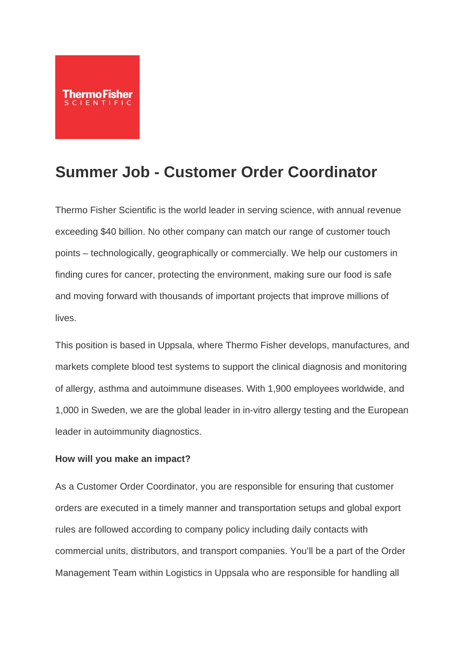

# **Summer Job - Customer Order Coordinator**

Thermo Fisher Scientific is the world leader in serving science, with annual revenue exceeding \$40 billion. No other company can match our range of customer touch points – technologically, geographically or commercially. We help our customers in finding cures for cancer, protecting the environment, making sure our food is safe and moving forward with thousands of important projects that improve millions of lives.

This position is based in Uppsala, where Thermo Fisher develops, manufactures, and markets complete blood test systems to support the clinical diagnosis and monitoring of allergy, asthma and autoimmune diseases. With 1,900 employees worldwide, and 1,000 in Sweden, we are the global leader in in-vitro allergy testing and the European leader in autoimmunity diagnostics.

#### **How will you make an impact?**

As a Customer Order Coordinator, you are responsible for ensuring that customer orders are executed in a timely manner and transportation setups and global export rules are followed according to company policy including daily contacts with commercial units, distributors, and transport companies. You'll be a part of the Order Management Team within Logistics in Uppsala who are responsible for handling all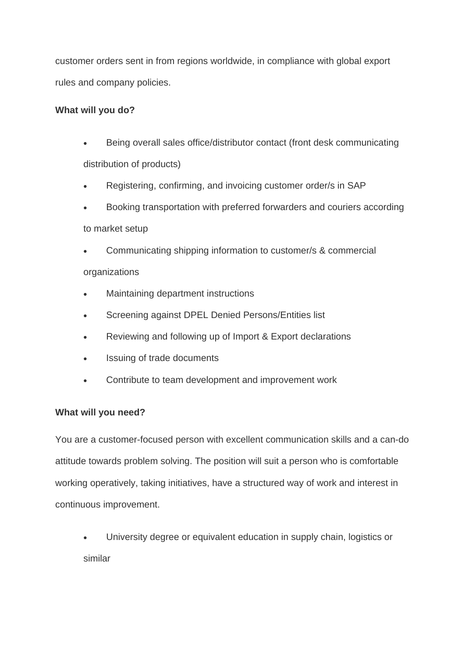customer orders sent in from regions worldwide, in compliance with global export rules and company policies.

### **What will you do?**

- Being overall sales office/distributor contact (front desk communicating distribution of products)
- Registering, confirming, and invoicing customer order/s in SAP
- Booking transportation with preferred forwarders and couriers according to market setup
- Communicating shipping information to customer/s & commercial organizations
- Maintaining department instructions
- Screening against DPEL Denied Persons/Entities list
- Reviewing and following up of Import & Export declarations
- Issuing of trade documents
- Contribute to team development and improvement work

#### **What will you need?**

You are a customer-focused person with excellent communication skills and a can-do attitude towards problem solving. The position will suit a person who is comfortable working operatively, taking initiatives, have a structured way of work and interest in continuous improvement.

• University degree or equivalent education in supply chain, logistics or similar